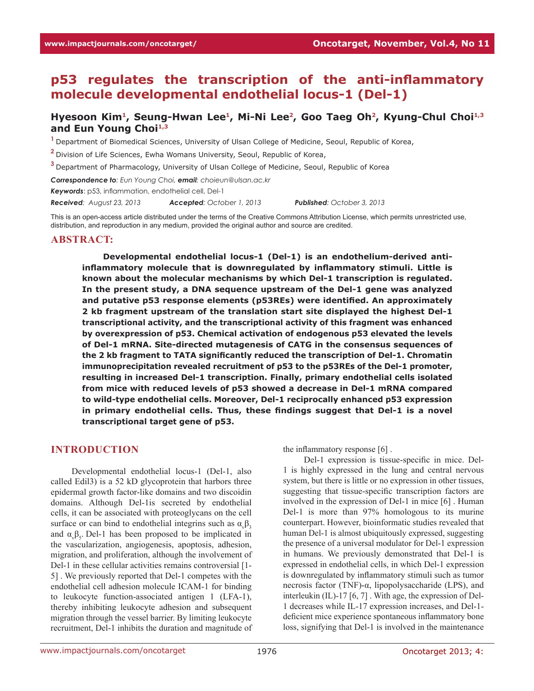# **p53 regulates the transcription of the anti-inflammatory molecule developmental endothelial locus-1 (Del-1)**

## **Hyesoon Kim1, Seung-Hwan Lee1, Mi-Ni Lee2, Goo Taeg Oh2, Kyung-Chul Choi1,3 and Eun Young Choi1,3**

**<sup>1</sup>**Department of Biomedical Sciences, University of Ulsan College of Medicine, Seoul, Republic of Korea,

**<sup>2</sup>**Division of Life Sciences, Ewha Womans University, Seoul, Republic of Korea,

**<sup>3</sup>**Department of Pharmacology, University of Ulsan College of Medicine, Seoul, Republic of Korea

*Correspondence to: Eun Young Choi, email: choieun@ulsan.ac.kr*

*Keywords*: p53, inflammation, endothelial cell, Del-1

*Received: August 23, 2013 Accepted: October 1, 2013 Published: October 3, 2013*

This is an open-access article distributed under the terms of the Creative Commons Attribution License, which permits unrestricted use, distribution, and reproduction in any medium, provided the original author and source are credited.

#### **ABSTRACT:**

**Developmental endothelial locus-1 (Del-1) is an endothelium-derived antiinflammatory molecule that is downregulated by inflammatory stimuli. Little is known about the molecular mechanisms by which Del-1 transcription is regulated. In the present study, a DNA sequence upstream of the Del-1 gene was analyzed and putative p53 response elements (p53REs) were identified. An approximately 2 kb fragment upstream of the translation start site displayed the highest Del-1 transcriptional activity, and the transcriptional activity of this fragment was enhanced by overexpression of p53. Chemical activation of endogenous p53 elevated the levels of Del-1 mRNA. Site-directed mutagenesis of CATG in the consensus sequences of the 2 kb fragment to TATA significantly reduced the transcription of Del-1. Chromatin immunoprecipitation revealed recruitment of p53 to the p53REs of the Del-1 promoter, resulting in increased Del-1 transcription. Finally, primary endothelial cells isolated from mice with reduced levels of p53 showed a decrease in Del-1 mRNA compared to wild-type endothelial cells. Moreover, Del-1 reciprocally enhanced p53 expression in primary endothelial cells. Thus, these findings suggest that Del-1 is a novel transcriptional target gene of p53.**

#### **INTRODUCTION**

Developmental endothelial locus-1 (Del-1, also called Edil3) is a 52 kD glycoprotein that harbors three epidermal growth factor-like domains and two discoidin domains. Although Del-1is secreted by endothelial cells, it can be associated with proteoglycans on the cell surface or can bind to endothelial integrins such as  $\alpha_{\nu} \beta_3$ and  $\alpha_{\nu} \beta_{5}$ . Del-1 has been proposed to be implicated in the vascularization, angiogenesis, apoptosis, adhesion, migration, and proliferation, although the involvement of Del-1 in these cellular activities remains controversial [1- 5] . We previously reported that Del-1 competes with the endothelial cell adhesion molecule ICAM-1 for binding to leukocyte function-associated antigen 1 (LFA-1), thereby inhibiting leukocyte adhesion and subsequent migration through the vessel barrier. By limiting leukocyte recruitment, Del-1 inhibits the duration and magnitude of

the inflammatory response [6] .

Del-1 expression is tissue-specific in mice. Del-1 is highly expressed in the lung and central nervous system, but there is little or no expression in other tissues, suggesting that tissue-specific transcription factors are involved in the expression of Del-1 in mice [6] . Human Del-1 is more than 97% homologous to its murine counterpart. However, bioinformatic studies revealed that human Del-1 is almost ubiquitously expressed, suggesting the presence of a universal modulator for Del-1 expression in humans. We previously demonstrated that Del-1 is expressed in endothelial cells, in which Del-1 expression is downregulated by inflammatory stimuli such as tumor necrosis factor (TNF)-α, lipopolysaccharide (LPS), and interleukin (IL)-17 [6, 7] . With age, the expression of Del-1 decreases while IL-17 expression increases, and Del-1 deficient mice experience spontaneous inflammatory bone loss, signifying that Del-1 is involved in the maintenance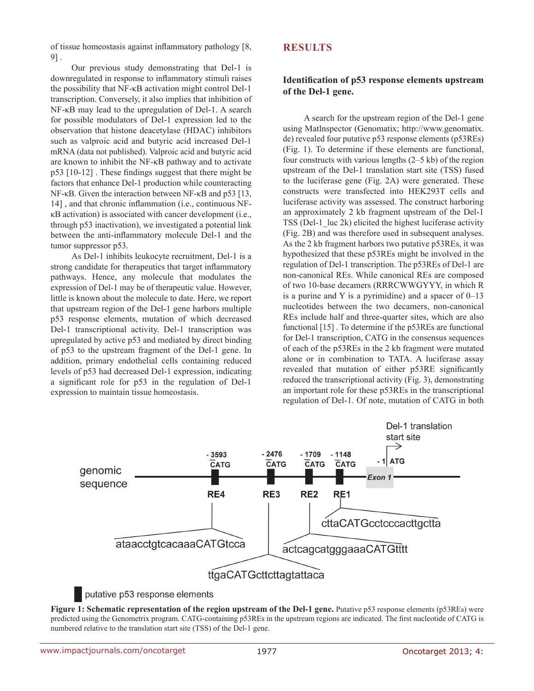of tissue homeostasis against inflammatory pathology [8, 9] .

Our previous study demonstrating that Del-1 is downregulated in response to inflammatory stimuli raises the possibility that NF-κB activation might control Del-1 transcription. Conversely, it also implies that inhibition of NF-κB may lead to the upregulation of Del-1. A search for possible modulators of Del-1 expression led to the observation that histone deacetylase (HDAC) inhibitors such as valproic acid and butyric acid increased Del-1 mRNA (data not published). Valproic acid and butyric acid are known to inhibit the NF-κB pathway and to activate p53 [10-12] . These findings suggest that there might be factors that enhance Del-1 production while counteracting NF-κB. Given the interaction between NF-κB and p53 [13, 14] , and that chronic inflammation (i.e., continuous NFκB activation) is associated with cancer development (i.e., through p53 inactivation), we investigated a potential link between the anti-inflammatory molecule Del-1 and the tumor suppressor p53.

As Del-1 inhibits leukocyte recruitment, Del-1 is a strong candidate for therapeutics that target inflammatory pathways. Hence, any molecule that modulates the expression of Del-1 may be of therapeutic value. However, little is known about the molecule to date. Here, we report that upstream region of the Del-1 gene harbors multiple p53 response elements, mutation of which decreased Del-1 transcriptional activity. Del-1 transcription was upregulated by active p53 and mediated by direct binding of p53 to the upstream fragment of the Del-1 gene. In addition, primary endothelial cells containing reduced levels of p53 had decreased Del-1 expression, indicating a significant role for p53 in the regulation of Del-1 expression to maintain tissue homeostasis.

# **RESULTS**

# **Identification of p53 response elements upstream of the Del-1 gene.**

A search for the upstream region of the Del-1 gene using Matlnspector (Genomatix; http://www.genomatix. de) revealed four putative p53 response elements (p53REs) (Fig. 1). To determine if these elements are functional, four constructs with various lengths (2–5 kb) of the region upstream of the Del-1 translation start site (TSS) fused to the luciferase gene (Fig. 2A) were generated. These constructs were transfected into HEK293T cells and luciferase activity was assessed. The construct harboring an approximately 2 kb fragment upstream of the Del-1 TSS (Del-1 luc 2k) elicited the highest luciferase activity (Fig. 2B) and was therefore used in subsequent analyses. As the 2 kb fragment harbors two putative p53REs, it was hypothesized that these p53REs might be involved in the regulation of Del-1 transcription. The p53REs of Del-1 are non-canonical REs. While canonical REs are composed of two 10-base decamers (RRRCWWGYYY, in which R is a purine and Y is a pyrimidine) and a spacer of  $0-13$ nucleotides between the two decamers, non-canonical REs include half and three-quarter sites, which are also functional [15] . To determine if the p53REs are functional for Del-1 transcription, CATG in the consensus sequences of each of the p53REs in the 2 kb fragment were mutated alone or in combination to TATA. A luciferase assay revealed that mutation of either p53RE significantly reduced the transcriptional activity (Fig. 3), demonstrating an important role for these p53REs in the transcriptional regulation of Del-1. Of note, mutation of CATG in both



### putative p53 response elements

**Figure 1: Schematic representation of the region upstream of the Del-1 gene.** Putative p53 response elements (p53REs) were predicted using the Genometrix program. CATG-containing p53REs in the upstream regions are indicated. The first nucleotide of CATG is numbered relative to the translation start site (TSS) of the Del-1 gene.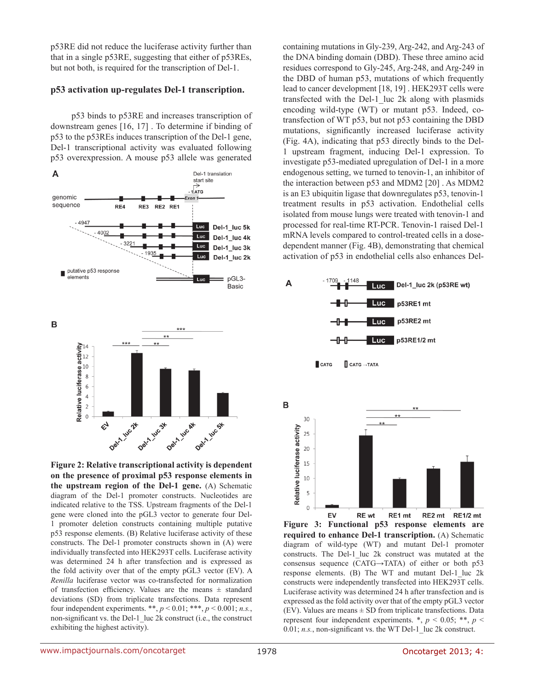p53RE did not reduce the luciferase activity further than that in a single p53RE, suggesting that either of p53REs, but not both, is required for the transcription of Del-1.

### **p53 activation up-regulates Del-1 transcription.**

p53 binds to p53RE and increases transcription of downstream genes [16, 17] . To determine if binding of p53 to the p53REs induces transcription of the Del-1 gene, Del-1 transcriptional activity was evaluated following p53 overexpression. A mouse p53 allele was generated



**Figure 2: Relative transcriptional activity is dependent on the presence of proximal p53 response elements in the upstream region of the Del-1 gene.** (A) Schematic diagram of the Del-1 promoter constructs. Nucleotides are indicated relative to the TSS. Upstream fragments of the Del-1 gene were cloned into the pGL3 vector to generate four Del-1 promoter deletion constructs containing multiple putative p53 response elements. (B) Relative luciferase activity of these constructs. The Del-1 promoter constructs shown in (A) were individually transfected into HEK293T cells. Luciferase activity was determined 24 h after transfection and is expressed as the fold activity over that of the empty pGL3 vector (EV). A *Renilla* luciferase vector was co-transfected for normalization of transfection efficiency. Values are the means ± standard deviations (SD) from triplicate transfections. Data represent four independent experiments. \*\*, *p* < 0.01; \*\*\*, *p* < 0.001; *n.s.*, non-significant vs. the Del-1 luc 2k construct (i.e., the construct exhibiting the highest activity).

containing mutations in Gly-239, Arg-242, and Arg-243 of the DNA binding domain (DBD). These three amino acid residues correspond to Gly-245, Arg-248, and Arg-249 in the DBD of human p53, mutations of which frequently lead to cancer development [18, 19] . HEK293T cells were transfected with the Del-1 luc 2k along with plasmids encoding wild-type (WT) or mutant p53. Indeed, cotransfection of WT p53, but not p53 containing the DBD mutations, significantly increased luciferase activity (Fig. 4A), indicating that p53 directly binds to the Del-1 upstream fragment, inducing Del-1 expression. To investigate p53-mediated upregulation of Del-1 in a more endogenous setting, we turned to tenovin-1, an inhibitor of the interaction between p53 and MDM2 [20] . As MDM2 is an E3 ubiquitin ligase that downregulates p53, tenovin-1 treatment results in p53 activation. Endothelial cells isolated from mouse lungs were treated with tenovin-1 and processed for real-time RT-PCR. Tenovin-1 raised Del-1 mRNA levels compared to control-treated cells in a dosedependent manner (Fig. 4B), demonstrating that chemical activation of p53 in endothelial cells also enhances Del-



EV RE wt RE1 mt RE2 mt RE1/2 mt **Figure 3: Functional p53 response elements are required to enhance Del-1 transcription.** (A) Schematic diagram of wild-type (WT) and mutant Del-1 promoter constructs. The Del-1 luc 2k construct was mutated at the consensus sequence (CATG→TATA) of either or both p53 response elements. (B) The WT and mutant Del-1 luc 2k constructs were independently transfected into HEK293T cells. Luciferase activity was determined 24 h after transfection and is expressed as the fold activity over that of the empty pGL3 vector (EV). Values are means  $\pm$  SD from triplicate transfections. Data represent four independent experiments.  $*, p < 0.05; **, p <$  $0.01$ ;  $n.s.,$  non-significant vs. the WT Del-1 luc 2k construct.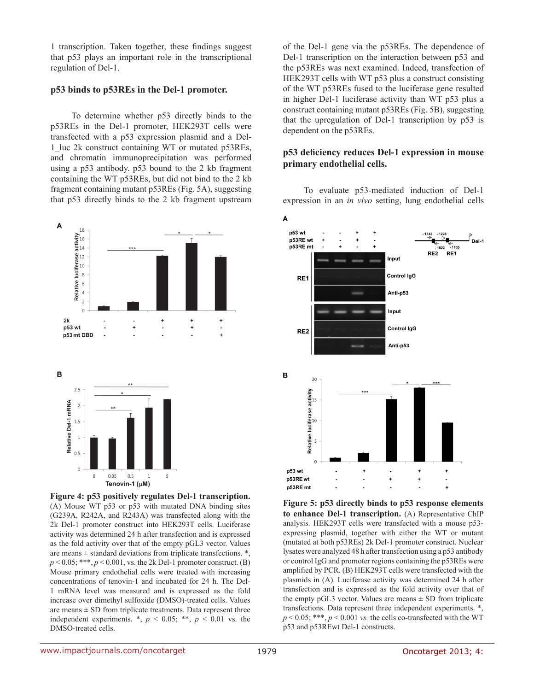1 transcription. Taken together, these findings suggest that p53 plays an important role in the transcriptional regulation of Del-1.

#### **p53 binds to p53REs in the Del-1 promoter.**

To determine whether p53 directly binds to the p53REs in the Del-1 promoter, HEK293T cells were transfected with a p53 expression plasmid and a Del-1\_luc 2k construct containing WT or mutated p53REs, and chromatin immunoprecipitation was performed using a p53 antibody. p53 bound to the 2 kb fragment containing the WT p53REs, but did not bind to the 2 kb fragment containing mutant p53REs (Fig. 5A), suggesting that p53 directly binds to the 2 kb fragment upstream



**Figure 4: p53 positively regulates Del-1 transcription.**  (A) Mouse WT p53 or p53 with mutated DNA binding sites (G239A, R242A, and R243A) was transfected along with the 2k Del-1 promoter construct into HEK293T cells. Luciferase activity was determined 24 h after transfection and is expressed as the fold activity over that of the empty pGL3 vector. Values are means  $\pm$  standard deviations from triplicate transfections.  $*$ ,  $p < 0.05$ ; \*\*\*,  $p < 0.001$ , vs. the 2k Del-1 promoter construct. (B) Mouse primary endothelial cells were treated with increasing concentrations of tenovin-1 and incubated for 24 h. The Del-1 mRNA level was measured and is expressed as the fold increase over dimethyl sulfoxide (DMSO)-treated cells. Values are means  $\pm$  SD from triplicate treatments. Data represent three independent experiments.  $*, p < 0.05; **$ ,  $p < 0.01$  vs. the DMSO-treated cells.

of the Del-1 gene via the p53REs. The dependence of Del-1 transcription on the interaction between p53 and the p53REs was next examined. Indeed, transfection of HEK293T cells with WT p53 plus a construct consisting of the WT p53REs fused to the luciferase gene resulted in higher Del-1 luciferase activity than WT p53 plus a construct containing mutant p53REs (Fig. 5B), suggesting that the upregulation of Del-1 transcription by p53 is dependent on the p53REs.

# **p53 deficiency reduces Del-1 expression in mouse primary endothelial cells.**

To evaluate p53-mediated induction of Del-1 expression in an *in vivo* setting, lung endothelial cells



**Figure 5: p53 directly binds to p53 response elements to enhance Del-1 transcription.** (A) Representative ChIP analysis. HEK293T cells were transfected with a mouse p53 expressing plasmid, together with either the WT or mutant (mutated at both p53REs) 2k Del-1 promoter construct. Nuclear lysates were analyzed 48 h after transfection using a p53 antibody or control IgG and promoter regions containing the p53REs were amplified by PCR. (B) HEK293T cells were transfected with the plasmids in (A). Luciferase activity was determined 24 h after transfection and is expressed as the fold activity over that of the empty pGL3 vector. Values are means  $\pm$  SD from triplicate transfections. Data represent three independent experiments. \*,  $p \le 0.05$ ; \*\*\*,  $p \le 0.001$  *vs.* the cells co-transfected with the WT p53 and p53REwt Del-1 constructs.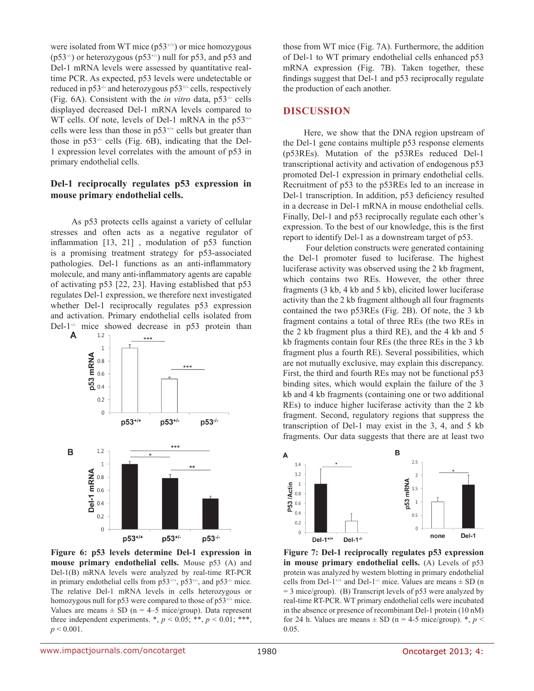were isolated from WT mice  $(p53^{+/+})$  or mice homozygous  $(p53<sup>-/-</sup>)$  or heterozygous  $(p53<sup>+/-</sup>)$  null for p53, and p53 and Del-1 mRNA levels were assessed by quantitative realtime PCR. As expected, p53 levels were undetectable or reduced in  $p53^{-1}$  and heterozygous  $p53^{+1}$  cells, respectively (Fig. 6A). Consistent with the *in vitro* data, p53-/- cells displayed decreased Del-1 mRNA levels compared to WT cells. Of note, levels of Del-1 mRNA in the p53<sup>+/-</sup> cells were less than those in  $p53^{+/+}$  cells but greater than those in  $p53^{-/-}$  cells (Fig. 6B), indicating that the Del-1 expression level correlates with the amount of p53 in primary endothelial cells.

#### **Del-1 reciprocally regulates p53 expression in mouse primary endothelial cells.**

As p53 protects cells against a variety of cellular stresses and often acts as a negative regulator of inflammation [13, 21] , modulation of p53 function is a promising treatment strategy for p53-associated pathologies. Del-1 functions as an anti-inflammatory molecule, and many anti-inflammatory agents are capable of activating p53 [22, 23]. Having established that p53 regulates Del-1 expression, we therefore next investigated whether Del-1 reciprocally regulates p53 expression and activation. Primary endothelial cells isolated from Del-1<sup>-/-</sup> mice showed decrease in p53 protein than  $\mathbf{A}$  1.2 a to 1.4 a to 1.4 a to 1.4 a to 1.4 a to 1.4 a to 1.4 a to 1.4 a to 1.4 a to 1.4 a to 1.4 a to 1.4 a to 1.4 a to 1.4 a to 1.4 a to 1.4 a to 1.4 a to 1.4 a t



**Figure 6: p53 levels determine Del-1 expression in mouse primary endothelial cells.** Mouse p53 (A) and Del-1(B) mRNA levels were analyzed by real-time RT-PCR in primary endothelial cells from  $p53^{+/+}$ ,  $p53^{+/}$ , and  $p53^{+/}$  mice. The relative Del-1 mRNA levels in cells heterozygous or homozygous null for p53 were compared to those of p53<sup>+/+</sup> mice. Values are means  $\pm$  SD (n = 4–5 mice/group). Data represent three independent experiments.  $*, p < 0.05; **$ ,  $p < 0.01; **$ ,  $p < 0.001$ .

those from WT mice (Fig. 7A). Furthermore, the addition of Del-1 to WT primary endothelial cells enhanced p53 mRNA expression (Fig. 7B). Taken together, these findings suggest that Del-1 and p53 reciprocally regulate the production of each another.

### **DISCUSSION**

Here, we show that the DNA region upstream of the Del-1 gene contains multiple p53 response elements (p53REs). Mutation of the p53REs reduced Del-1 transcriptional activity and activation of endogenous p53 promoted Del-1 expression in primary endothelial cells. Recruitment of p53 to the p53REs led to an increase in Del-1 transcription. In addition, p53 deficiency resulted in a decrease in Del-1 mRNA in mouse endothelial cells. Finally, Del-1 and p53 reciprocally regulate each other's expression. To the best of our knowledge, this is the first report to identify Del-1 as a downstream target of p53.

 Four deletion constructs were generated containing the Del-1 promoter fused to luciferase. The highest luciferase activity was observed using the 2 kb fragment, which contains two REs. However, the other three fragments (3 kb, 4 kb and 5 kb), elicited lower luciferase activity than the 2 kb fragment although all four fragments contained the two p53REs (Fig. 2B). Of note, the 3 kb fragment contains a total of three REs (the two REs in the 2 kb fragment plus a third RE), and the 4 kb and 5 kb fragments contain four REs (the three REs in the 3 kb fragment plus a fourth RE). Several possibilities, which are not mutually exclusive, may explain this discrepancy. First, the third and fourth REs may not be functional p53 binding sites, which would explain the failure of the 3 kb and 4 kb fragments (containing one or two additional REs) to induce higher luciferase activity than the 2 kb fragment. Second, regulatory regions that suppress the transcription of Del-1 may exist in the 3, 4, and 5 kb fragments. Our data suggests that there are at least two



**Figure 7: Del-1 reciprocally regulates p53 expression in mouse primary endothelial cells.** (A) Levels of p53 protein was analyzed by western blotting in primary endothelial cells from Del-1<sup>+/+</sup> and Del-1<sup>-/-</sup> mice. Values are means  $\pm$  SD (n = 3 mice/group). (B) Transcript levels of p53 were analyzed by real-time RT-PCR. WT primary endothelial cells were incubated in the absence or presence of recombinant Del-1 protein (10 nM) for 24 h. Values are means  $\pm$  SD (n = 4-5 mice/group).  $\ast$ , *p* < 0.05.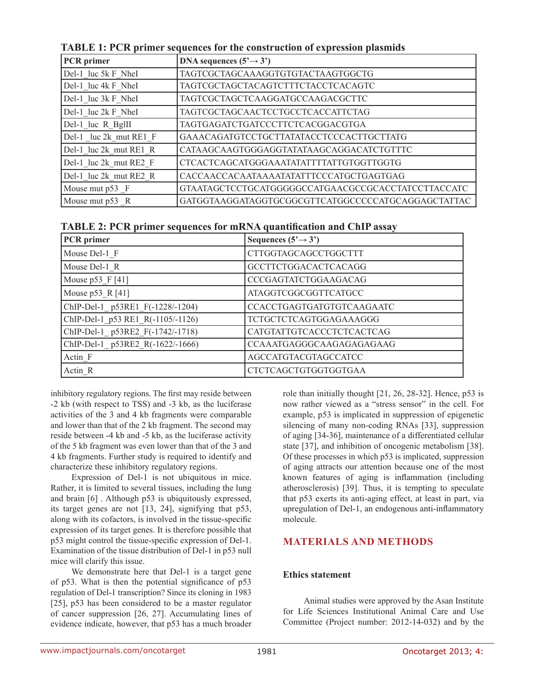| PCR primer             | DNA sequences $(5^3 \rightarrow 3^3)$              |
|------------------------|----------------------------------------------------|
| Del-1 luc 5k F NheI    | TAGTCGCTAGCAAAGGTGTGTACTAAGTGGCTG                  |
| Del-1 luc 4k F NheI    | TAGTCGCTAGCTACAGTCTTTCTACCTCACAGTC                 |
| Del-1 luc 3k F NheI    | TAGTCGCTAGCTCAAGGATGCCAAGACGCTTC                   |
| Del-1 luc 2k F NheI    | TAGTCGCTAGCAACTCCTGCCTCACCATTCTAG                  |
| Del-1 luc R BgIII      | TAGTGAGATCTGATCCCTTCTCACGGACGTGA                   |
| Del-1 luc 2k mut RE1 F | GAAACAGATGTCCTGCTTATATACCTCCCACTTGCTTATG           |
| Del-1 luc 2k mut RE1 R | CATAAGCAAGTGGGAGGTATATAAGCAGGACATCTGTTTC           |
| Del-1_luc 2k_mut RE2_F | CTCACTCAGCATGGGAAATATATTTTATTGTGGTTGGTG            |
| Del-1 luc 2k mut RE2 R | CACCAACCACAATAAAATATATTTCCCATGCTGAGTGAG            |
| Mouse mut p53 F        | GTAATAGCTCCTGCATGGGGGCCATGAACGCCGCACCTATCCTTACCATC |
| Mouse mut p53 R        | GATGGTAAGGATAGGTGCGGCGTTCATGGCCCCCATGCAGGAGCTATTAC |

**TABLE 1: PCR primer sequences for the construction of expression plasmids**

|  |  | TABLE 2: PCR primer sequences for mRNA quantification and ChIP assay |  |
|--|--|----------------------------------------------------------------------|--|
|--|--|----------------------------------------------------------------------|--|

| <b>PCR</b> primer                 | Sequences $(5\rightarrow 3')$ |
|-----------------------------------|-------------------------------|
| Mouse Del-1 F                     | <b>CTTGGTAGCAGCCTGGCTTT</b>   |
| Mouse Del-1 R                     | <b>GCCTTCTGGACACTCACAGG</b>   |
| Mouse $p53$ F [41]                | CCCGAGTATCTGGAAGACAG          |
| Mouse $p53 \ R[41]$               | <b>ATAGGTCGGCGGTTCATGCC</b>   |
| ChIP-Del-1 p53RE1 F(-1228/-1204)  | CCACCTGAGTGATGTGTCAAGAATC     |
| ChIP-Del-1 p53 RE1 R(-1105/-1126) | <b>TCTGCTCTCAGTGGAGAAAGGG</b> |
| ChIP-Del-1 p53RE2 F(-1742/-1718)  | CATGTATTGTCACCCTCTCACTCAG     |
| ChIP-Del-1 p53RE2 R(-1622/-1666)  | CCAAATGAGGGCAAGAGAGAGAAG      |
| Actin F                           | AGCCATGTACGTAGCCATCC          |
| Actin R                           | <b>CTCTCAGCTGTGGTGGTGAA</b>   |

inhibitory regulatory regions. The first may reside between -2 kb (with respect to TSS) and -3 kb, as the luciferase activities of the 3 and 4 kb fragments were comparable and lower than that of the 2 kb fragment. The second may reside between -4 kb and -5 kb, as the luciferase activity of the 5 kb fragment was even lower than that of the 3 and 4 kb fragments. Further study is required to identify and characterize these inhibitory regulatory regions.

Expression of Del-1 is not ubiquitous in mice. Rather, it is limited to several tissues, including the lung and brain [6] . Although p53 is ubiquitously expressed, its target genes are not [13, 24], signifying that p53, along with its cofactors, is involved in the tissue-specific expression of its target genes. It is therefore possible that p53 might control the tissue-specific expression of Del-1. Examination of the tissue distribution of Del-1 in p53 null mice will clarify this issue.

We demonstrate here that Del-1 is a target gene of p53. What is then the potential significance of p53 regulation of Del-1 transcription? Since its cloning in 1983 [25], p53 has been considered to be a master regulator of cancer suppression [26, 27]. Accumulating lines of evidence indicate, however, that p53 has a much broader

role than initially thought [21, 26, 28-32]. Hence, p53 is now rather viewed as a "stress sensor" in the cell. For example, p53 is implicated in suppression of epigenetic silencing of many non-coding RNAs [33], suppression of aging [34-36], maintenance of a differentiated cellular state [37], and inhibition of oncogenic metabolism [38]. Of these processes in which p53 is implicated, suppression of aging attracts our attention because one of the most known features of aging is inflammation (including atherosclerosis) [39]. Thus, it is tempting to speculate that p53 exerts its anti-aging effect, at least in part, via upregulation of Del-1, an endogenous anti-inflammatory molecule.

# **MATERIALS AND METHODS**

# **Ethics statement**

Animal studies were approved by the Asan Institute for Life Sciences Institutional Animal Care and Use Committee (Project number: 2012-14-032) and by the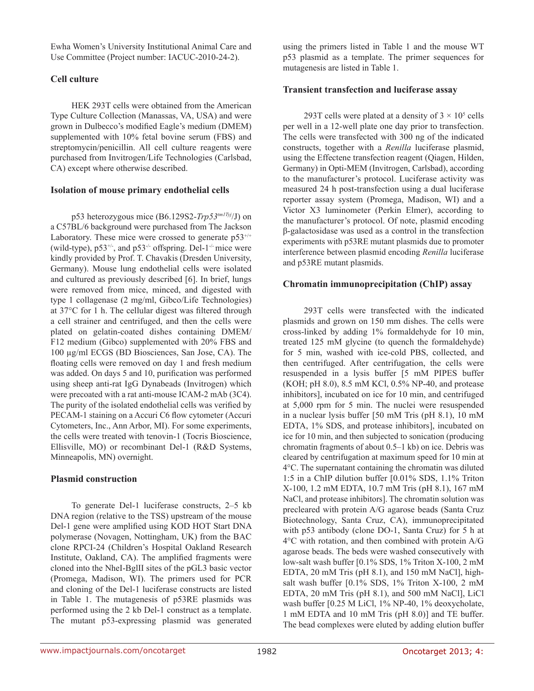Ewha Women's University Institutional Animal Care and Use Committee (Project number: IACUC-2010-24-2).

# **Cell culture**

HEK 293T cells were obtained from the American Type Culture Collection (Manassas, VA, USA) and were grown in Dulbecco's modified Eagle's medium (DMEM) supplemented with 10% fetal bovine serum (FBS) and streptomycin/penicillin. All cell culture reagents were purchased from Invitrogen/Life Technologies (Carlsbad, CA) except where otherwise described.

## **Isolation of mouse primary endothelial cells**

p53 heterozygous mice (B6.129S2-*Trp53tm1Tyj*/J) on a C57BL/6 background were purchased from The Jackson Laboratory. These mice were crossed to generate  $p53^{+/+}$ (wild-type),  $p53^{+/}$ , and  $p53^{/-}$  offspring. Del-1<sup>-/-</sup> mice were kindly provided by Prof. T. Chavakis (Dresden University, Germany). Mouse lung endothelial cells were isolated and cultured as previously described [6]. In brief, lungs were removed from mice, minced, and digested with type 1 collagenase (2 mg/ml, Gibco/Life Technologies) at 37°C for 1 h. The cellular digest was filtered through a cell strainer and centrifuged, and then the cells were plated on gelatin-coated dishes containing DMEM/ F12 medium (Gibco) supplemented with 20% FBS and 100 µg/ml ECGS (BD Biosciences, San Jose, CA). The floating cells were removed on day 1 and fresh medium was added. On days 5 and 10, purification was performed using sheep anti-rat IgG Dynabeads (Invitrogen) which were precoated with a rat anti-mouse ICAM-2 mAb (3C4). The purity of the isolated endothelial cells was verified by PECAM-1 staining on a Accuri C6 flow cytometer (Accuri Cytometers, Inc., Ann Arbor, MI). For some experiments, the cells were treated with tenovin-1 (Tocris Bioscience, Ellisville, MO) or recombinant Del-1 (R&D Systems, Minneapolis, MN) overnight.

### **Plasmid construction**

To generate Del-1 luciferase constructs, 2–5 kb DNA region (relative to the TSS) upstream of the mouse Del-1 gene were amplified using KOD HOT Start DNA polymerase (Novagen, Nottingham, UK) from the BAC clone RPCI-24 (Children's Hospital Oakland Research Institute, Oakland, CA). The amplified fragments were cloned into the NheI-BglII sites of the pGL3 basic vector (Promega, Madison, WI). The primers used for PCR and cloning of the Del-1 luciferase constructs are listed in Table 1. The mutagenesis of p53RE plasmids was performed using the 2 kb Del-1 construct as a template. The mutant p53-expressing plasmid was generated using the primers listed in Table 1 and the mouse WT p53 plasmid as a template. The primer sequences for mutagenesis are listed in Table 1.

### **Transient transfection and luciferase assay**

293T cells were plated at a density of  $3 \times 10^5$  cells per well in a 12-well plate one day prior to transfection. The cells were transfected with 300 ng of the indicated constructs, together with a *Renilla* luciferase plasmid, using the Effectene transfection reagent (Qiagen, Hilden, Germany) in Opti-MEM (Invitrogen, Carlsbad), according to the manufacturer's protocol. Luciferase activity was measured 24 h post-transfection using a dual luciferase reporter assay system (Promega, Madison, WI) and a Victor X3 luminometer (Perkin Elmer), according to the manufacturer's protocol. Of note, plasmid encoding β-galactosidase was used as a control in the transfection experiments with p53RE mutant plasmids due to promoter interference between plasmid encoding *Renilla* luciferase and p53RE mutant plasmids.

### **Chromatin immunoprecipitation (ChIP) assay**

293T cells were transfected with the indicated plasmids and grown on 150 mm dishes. The cells were cross-linked by adding 1% formaldehyde for 10 min, treated 125 mM glycine (to quench the formaldehyde) for 5 min, washed with ice-cold PBS, collected, and then centrifuged. After centrifugation, the cells were resuspended in a lysis buffer [5 mM PIPES buffer (KOH; pH 8.0), 8.5 mM KCl, 0.5% NP-40, and protease inhibitors], incubated on ice for 10 min, and centrifuged at 5,000 rpm for 5 min. The nuclei were resuspended in a nuclear lysis buffer [50 mM Tris (pH 8.1), 10 mM EDTA, 1% SDS, and protease inhibitors], incubated on ice for 10 min, and then subjected to sonication (producing chromatin fragments of about 0.5–1 kb) on ice. Debris was cleared by centrifugation at maximum speed for 10 min at 4°C. The supernatant containing the chromatin was diluted 1:5 in a ChIP dilution buffer [0.01% SDS, 1.1% Triton X-100, 1.2 mM EDTA, 10.7 mM Tris (pH 8.1), 167 mM NaCl, and protease inhibitors]. The chromatin solution was precleared with protein A/G agarose beads (Santa Cruz Biotechnology, Santa Cruz, CA), immunoprecipitated with p53 antibody (clone DO-1, Santa Cruz) for 5 h at 4°C with rotation, and then combined with protein A/G agarose beads. The beds were washed consecutively with low-salt wash buffer [0.1% SDS, 1% Triton X-100, 2 mM EDTA, 20 mM Tris (pH 8.1), and 150 mM NaCl], highsalt wash buffer [0.1% SDS, 1% Triton X-100, 2 mM EDTA, 20 mM Tris (pH 8.1), and 500 mM NaCl], LiCl wash buffer [0.25 M LiCl, 1% NP-40, 1% deoxycholate, 1 mM EDTA and 10 mM Tris (pH 8.0)] and TE buffer. The bead complexes were eluted by adding elution buffer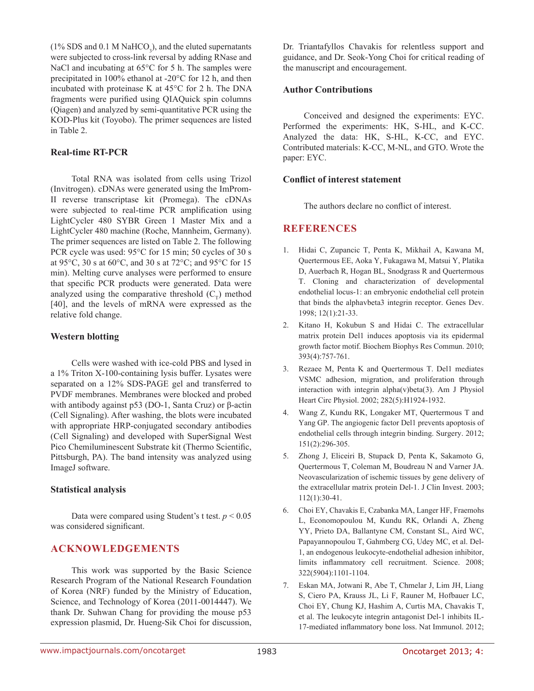(1% SDS and 0.1 M NaHCO<sub>3</sub>), and the eluted supernatants were subjected to cross-link reversal by adding RNase and NaCl and incubating at 65°C for 5 h. The samples were precipitated in 100% ethanol at -20°C for 12 h, and then incubated with proteinase K at 45°C for 2 h. The DNA fragments were purified using QIAQuick spin columns (Qiagen) and analyzed by semi-quantitative PCR using the KOD-Plus kit (Toyobo). The primer sequences are listed in Table 2.

### **Real-time RT-PCR**

Total RNA was isolated from cells using Trizol (Invitrogen). cDNAs were generated using the ImProm-II reverse transcriptase kit (Promega). The cDNAs were subjected to real-time PCR amplification using LightCycler 480 SYBR Green 1 Master Mix and a LightCycler 480 machine (Roche, Mannheim, Germany). The primer sequences are listed on Table 2. The following PCR cycle was used: 95°C for 15 min; 50 cycles of 30 s at 95°C, 30 s at 60°C, and 30 s at 72°C; and 95°C for 15 min). Melting curve analyses were performed to ensure that specific PCR products were generated. Data were analyzed using the comparative threshold  $(C<sub>\tau</sub>)$  method [40], and the levels of mRNA were expressed as the relative fold change.

### **Western blotting**

Cells were washed with ice-cold PBS and lysed in a 1% Triton X-100-containing lysis buffer. Lysates were separated on a 12% SDS-PAGE gel and transferred to PVDF membranes. Membranes were blocked and probed with antibody against p53 (DO-1, Santa Cruz) or β-actin (Cell Signaling). After washing, the blots were incubated with appropriate HRP-conjugated secondary antibodies (Cell Signaling) and developed with SuperSignal West Pico Chemiluminescent Substrate kit (Thermo Scientific, Pittsburgh, PA). The band intensity was analyzed using ImageJ software.

#### **Statistical analysis**

Data were compared using Student's t test.  $p < 0.05$ was considered significant.

### **ACKNOWLEDGEMENTS**

This work was supported by the Basic Science Research Program of the National Research Foundation of Korea (NRF) funded by the Ministry of Education, Science, and Technology of Korea (2011-0014447). We thank Dr. Suhwan Chang for providing the mouse p53 expression plasmid, Dr. Hueng-Sik Choi for discussion, Dr. Triantafyllos Chavakis for relentless support and guidance, and Dr. Seok-Yong Choi for critical reading of the manuscript and encouragement.

#### **Author Contributions**

Conceived and designed the experiments: EYC. Performed the experiments: HK, S-HL, and K-CC. Analyzed the data: HK, S-HL, K-CC, and EYC. Contributed materials: K-CC, M-NL, and GTO. Wrote the paper: EYC.

#### **Conflict of interest statement**

The authors declare no conflict of interest.

## **REFERENCES**

- 1. Hidai C, Zupancic T, Penta K, Mikhail A, Kawana M, Quertermous EE, Aoka Y, Fukagawa M, Matsui Y, Platika D, Auerbach R, Hogan BL, Snodgrass R and Quertermous T. Cloning and characterization of developmental endothelial locus-1: an embryonic endothelial cell protein that binds the alphavbeta3 integrin receptor. Genes Dev. 1998; 12(1):21-33.
- 2. Kitano H, Kokubun S and Hidai C. The extracellular matrix protein Del1 induces apoptosis via its epidermal growth factor motif. Biochem Biophys Res Commun. 2010; 393(4):757-761.
- 3. Rezaee M, Penta K and Quertermous T. Del1 mediates VSMC adhesion, migration, and proliferation through interaction with integrin alpha(v)beta(3). Am J Physiol Heart Circ Physiol. 2002; 282(5):H1924-1932.
- 4. Wang Z, Kundu RK, Longaker MT, Quertermous T and Yang GP. The angiogenic factor Del1 prevents apoptosis of endothelial cells through integrin binding. Surgery. 2012; 151(2):296-305.
- 5. Zhong J, Eliceiri B, Stupack D, Penta K, Sakamoto G, Quertermous T, Coleman M, Boudreau N and Varner JA. Neovascularization of ischemic tissues by gene delivery of the extracellular matrix protein Del-1. J Clin Invest. 2003; 112(1):30-41.
- 6. Choi EY, Chavakis E, Czabanka MA, Langer HF, Fraemohs L, Economopoulou M, Kundu RK, Orlandi A, Zheng YY, Prieto DA, Ballantyne CM, Constant SL, Aird WC, Papayannopoulou T, Gahmberg CG, Udey MC, et al. Del-1, an endogenous leukocyte-endothelial adhesion inhibitor, limits inflammatory cell recruitment. Science. 2008; 322(5904):1101-1104.
- 7. Eskan MA, Jotwani R, Abe T, Chmelar J, Lim JH, Liang S, Ciero PA, Krauss JL, Li F, Rauner M, Hofbauer LC, Choi EY, Chung KJ, Hashim A, Curtis MA, Chavakis T, et al. The leukocyte integrin antagonist Del-1 inhibits IL-17-mediated inflammatory bone loss. Nat Immunol. 2012;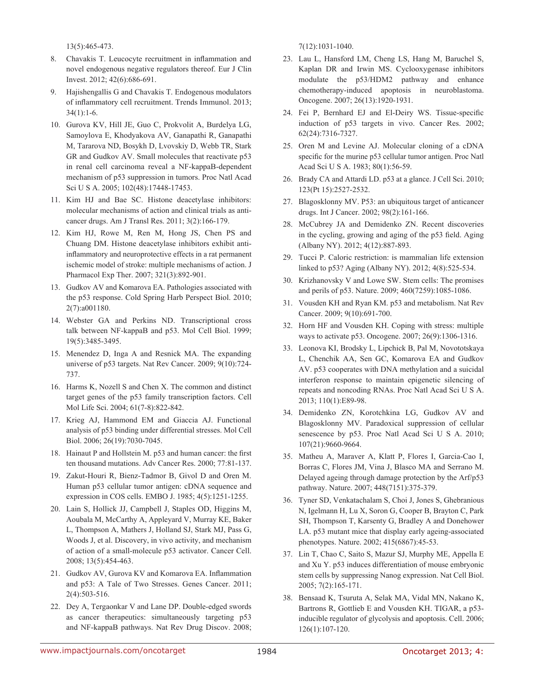13(5):465-473.

- 8. Chavakis T. Leucocyte recruitment in inflammation and novel endogenous negative regulators thereof. Eur J Clin Invest. 2012; 42(6):686-691.
- 9. Hajishengallis G and Chavakis T. Endogenous modulators of inflammatory cell recruitment. Trends Immunol. 2013; 34(1):1-6.
- 10. Gurova KV, Hill JE, Guo C, Prokvolit A, Burdelya LG, Samoylova E, Khodyakova AV, Ganapathi R, Ganapathi M, Tararova ND, Bosykh D, Lvovskiy D, Webb TR, Stark GR and Gudkov AV. Small molecules that reactivate p53 in renal cell carcinoma reveal a NF-kappaB-dependent mechanism of p53 suppression in tumors. Proc Natl Acad Sci U S A. 2005; 102(48):17448-17453.
- 11. Kim HJ and Bae SC. Histone deacetylase inhibitors: molecular mechanisms of action and clinical trials as anticancer drugs. Am J Transl Res. 2011; 3(2):166-179.
- 12. Kim HJ, Rowe M, Ren M, Hong JS, Chen PS and Chuang DM. Histone deacetylase inhibitors exhibit antiinflammatory and neuroprotective effects in a rat permanent ischemic model of stroke: multiple mechanisms of action. J Pharmacol Exp Ther. 2007; 321(3):892-901.
- 13. Gudkov AV and Komarova EA. Pathologies associated with the p53 response. Cold Spring Harb Perspect Biol. 2010; 2(7):a001180.
- 14. Webster GA and Perkins ND. Transcriptional cross talk between NF-kappaB and p53. Mol Cell Biol. 1999; 19(5):3485-3495.
- 15. Menendez D, Inga A and Resnick MA. The expanding universe of p53 targets. Nat Rev Cancer. 2009; 9(10):724- 737.
- 16. Harms K, Nozell S and Chen X. The common and distinct target genes of the p53 family transcription factors. Cell Mol Life Sci. 2004; 61(7-8):822-842.
- 17. Krieg AJ, Hammond EM and Giaccia AJ. Functional analysis of p53 binding under differential stresses. Mol Cell Biol. 2006; 26(19):7030-7045.
- 18. Hainaut P and Hollstein M. p53 and human cancer: the first ten thousand mutations. Adv Cancer Res. 2000; 77:81-137.
- 19. Zakut-Houri R, Bienz-Tadmor B, Givol D and Oren M. Human p53 cellular tumor antigen: cDNA sequence and expression in COS cells. EMBO J. 1985; 4(5):1251-1255.
- 20. Lain S, Hollick JJ, Campbell J, Staples OD, Higgins M, Aoubala M, McCarthy A, Appleyard V, Murray KE, Baker L, Thompson A, Mathers J, Holland SJ, Stark MJ, Pass G, Woods J, et al. Discovery, in vivo activity, and mechanism of action of a small-molecule p53 activator. Cancer Cell. 2008; 13(5):454-463.
- 21. Gudkov AV, Gurova KV and Komarova EA. Inflammation and p53: A Tale of Two Stresses. Genes Cancer. 2011; 2(4):503-516.
- 22. Dey A, Tergaonkar V and Lane DP. Double-edged swords as cancer therapeutics: simultaneously targeting p53 and NF-kappaB pathways. Nat Rev Drug Discov. 2008;

7(12):1031-1040.

- 23. Lau L, Hansford LM, Cheng LS, Hang M, Baruchel S, Kaplan DR and Irwin MS. Cyclooxygenase inhibitors modulate the p53/HDM2 pathway and enhance chemotherapy-induced apoptosis in neuroblastoma. Oncogene. 2007; 26(13):1920-1931.
- 24. Fei P, Bernhard EJ and El-Deiry WS. Tissue-specific induction of p53 targets in vivo. Cancer Res. 2002; 62(24):7316-7327.
- 25. Oren M and Levine AJ. Molecular cloning of a cDNA specific for the murine p53 cellular tumor antigen. Proc Natl Acad Sci U S A. 1983; 80(1):56-59.
- 26. Brady CA and Attardi LD. p53 at a glance. J Cell Sci. 2010; 123(Pt 15):2527-2532.
- 27. Blagosklonny MV. P53: an ubiquitous target of anticancer drugs. Int J Cancer. 2002; 98(2):161-166.
- 28. McCubrey JA and Demidenko ZN. Recent discoveries in the cycling, growing and aging of the p53 field. Aging (Albany NY). 2012; 4(12):887-893.
- 29. Tucci P. Caloric restriction: is mammalian life extension linked to p53? Aging (Albany NY). 2012; 4(8):525-534.
- 30. Krizhanovsky V and Lowe SW. Stem cells: The promises and perils of p53. Nature. 2009; 460(7259):1085-1086.
- 31. Vousden KH and Ryan KM. p53 and metabolism. Nat Rev Cancer. 2009; 9(10):691-700.
- 32. Horn HF and Vousden KH. Coping with stress: multiple ways to activate p53. Oncogene. 2007; 26(9):1306-1316.
- 33. Leonova KI, Brodsky L, Lipchick B, Pal M, Novototskaya L, Chenchik AA, Sen GC, Komarova EA and Gudkov AV. p53 cooperates with DNA methylation and a suicidal interferon response to maintain epigenetic silencing of repeats and noncoding RNAs. Proc Natl Acad Sci U S A. 2013; 110(1):E89-98.
- 34. Demidenko ZN, Korotchkina LG, Gudkov AV and Blagosklonny MV. Paradoxical suppression of cellular senescence by p53. Proc Natl Acad Sci U S A. 2010; 107(21):9660-9664.
- 35. Matheu A, Maraver A, Klatt P, Flores I, Garcia-Cao I, Borras C, Flores JM, Vina J, Blasco MA and Serrano M. Delayed ageing through damage protection by the Arf/p53 pathway. Nature. 2007; 448(7151):375-379.
- 36. Tyner SD, Venkatachalam S, Choi J, Jones S, Ghebranious N, Igelmann H, Lu X, Soron G, Cooper B, Brayton C, Park SH, Thompson T, Karsenty G, Bradley A and Donehower LA. p53 mutant mice that display early ageing-associated phenotypes. Nature. 2002; 415(6867):45-53.
- 37. Lin T, Chao C, Saito S, Mazur SJ, Murphy ME, Appella E and Xu Y. p53 induces differentiation of mouse embryonic stem cells by suppressing Nanog expression. Nat Cell Biol. 2005; 7(2):165-171.
- 38. Bensaad K, Tsuruta A, Selak MA, Vidal MN, Nakano K, Bartrons R, Gottlieb E and Vousden KH. TIGAR, a p53 inducible regulator of glycolysis and apoptosis. Cell. 2006; 126(1):107-120.